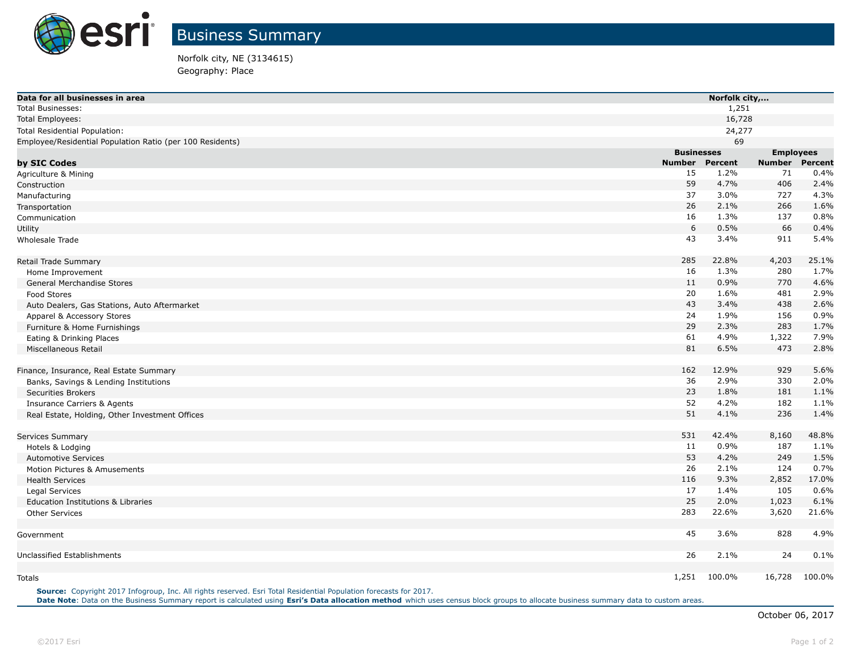

Norfolk city, NE (3134615) Geography: Place

| Data for all businesses in area                           |                   | Norfolk city,    |                       |  |  |
|-----------------------------------------------------------|-------------------|------------------|-----------------------|--|--|
| <b>Total Businesses:</b>                                  |                   | 1,251            |                       |  |  |
| <b>Total Employees:</b>                                   |                   | 16,728           |                       |  |  |
| Total Residential Population:                             |                   | 24,277           |                       |  |  |
| Employee/Residential Population Ratio (per 100 Residents) |                   | 69               |                       |  |  |
|                                                           | <b>Businesses</b> |                  | <b>Employees</b>      |  |  |
| by SIC Codes                                              | <b>Number</b>     | Percent          | <b>Number Percent</b> |  |  |
| Agriculture & Mining                                      | 15                | 1.2%<br>71       | 0.4%                  |  |  |
| Construction                                              | 59                | 4.7%<br>406      | 2.4%                  |  |  |
| Manufacturing                                             | 37                | 3.0%<br>727      | 4.3%                  |  |  |
| Transportation                                            | 26                | 2.1%<br>266      | 1.6%                  |  |  |
| Communication                                             | 16                | 1.3%<br>137      | 0.8%                  |  |  |
| Utility                                                   | 6                 | 0.5%<br>66       | 0.4%                  |  |  |
| <b>Wholesale Trade</b>                                    | 43                | 3.4%<br>911      | 5.4%                  |  |  |
| Retail Trade Summary                                      | 285               | 22.8%<br>4,203   | 25.1%                 |  |  |
| Home Improvement                                          | 16                | 1.3%<br>280      | 1.7%                  |  |  |
| General Merchandise Stores                                | 11                | 0.9%<br>770      | 4.6%                  |  |  |
| <b>Food Stores</b>                                        | 20                | 1.6%<br>481      | 2.9%                  |  |  |
| Auto Dealers, Gas Stations, Auto Aftermarket              | 43                | 3.4%<br>438      | 2.6%                  |  |  |
| Apparel & Accessory Stores                                | 24                | 1.9%<br>156      | 0.9%                  |  |  |
| Furniture & Home Furnishings                              | 29                | 2.3%<br>283      | 1.7%                  |  |  |
| Eating & Drinking Places                                  | 61                | 4.9%<br>1,322    | 7.9%                  |  |  |
| Miscellaneous Retail                                      | 81                | 6.5%<br>473      | 2.8%                  |  |  |
| Finance, Insurance, Real Estate Summary                   | 162               | 12.9%<br>929     | 5.6%                  |  |  |
| Banks, Savings & Lending Institutions                     | 36                | 2.9%<br>330      | 2.0%                  |  |  |
| <b>Securities Brokers</b>                                 | 23                | 1.8%<br>181      | 1.1%                  |  |  |
| <b>Insurance Carriers &amp; Agents</b>                    | 52                | 4.2%<br>182      | 1.1%                  |  |  |
| Real Estate, Holding, Other Investment Offices            | 51                | 4.1%<br>236      | 1.4%                  |  |  |
| Services Summary                                          | 531               | 42.4%<br>8,160   | 48.8%                 |  |  |
| Hotels & Lodging                                          | 11                | 0.9%<br>187      | 1.1%                  |  |  |
| <b>Automotive Services</b>                                | 53                | 4.2%<br>249      | 1.5%                  |  |  |
| Motion Pictures & Amusements                              | 26                | 2.1%<br>124      | 0.7%                  |  |  |
| <b>Health Services</b>                                    | 116               | 9.3%<br>2,852    | 17.0%                 |  |  |
| Legal Services                                            | 17                | 105<br>1.4%      | 0.6%                  |  |  |
| <b>Education Institutions &amp; Libraries</b>             | 25                | 2.0%<br>1,023    | 6.1%                  |  |  |
| <b>Other Services</b>                                     | 283               | 22.6%<br>3,620   | 21.6%                 |  |  |
| Government                                                | 45                | 3.6%<br>828      | 4.9%                  |  |  |
| Unclassified Establishments                               | 26                | 2.1%<br>24       | 0.1%                  |  |  |
|                                                           |                   |                  |                       |  |  |
| Totals                                                    | 1,251             | 100.0%<br>16,728 | 100.0%                |  |  |

**Source:** Copyright 2017 Infogroup, Inc. All rights reserved. Esri Total Residential Population forecasts for 2017. **Date Note**: Data on the Business Summary report is calculated using **[Esri's Data allocation method](http://doc.arcgis.com/en/esri-demographics/reference/data-allocation-method.htm)** which uses census block groups to allocate business summary data to custom areas.